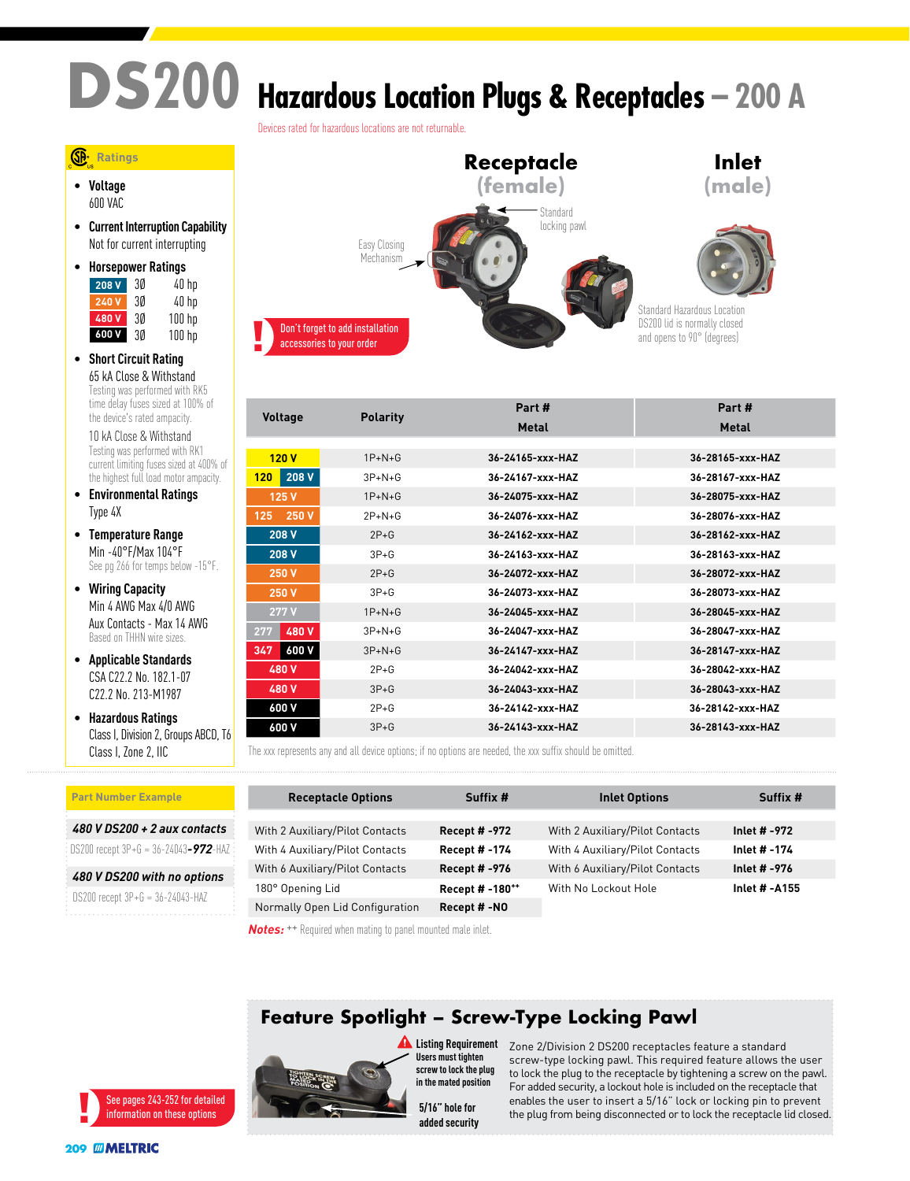# **DS200 Hazardous Location Plugs & Receptacles – 200 A**

Devices rated for hazardous locations are not returnable.



• **Voltage** 600 VAC

• **Current Interruption Capability** Not for current interrupting

| $\bullet$ | <b>Horsepower Ratings</b> |    |        |
|-----------|---------------------------|----|--------|
|           | 208 V                     | 30 | 40 hp  |
|           | 240 V                     | 3Ø | 40 hp  |
|           | 480V                      | 30 | 100 hp |
|           | 600 V                     | 3Ø | 100 hp |

• **Short Circuit Rating** 65 kA Close & Withstand Testing was performed with RK5 time delay fuses sized at 100% of the device's rated ampacity.

10 kA Close & Withstand Testing was performed with RK1 current limiting fuses sized at 400% of the highest full load motor ampacity.

- **Environmental Ratings** Type 4X
- **Temperature Range** Min -40°F/Max 104°F See pg 266 for temps below -15°F.
- **Wiring Capacity** Min 4 AWG Max 4/0 AWG Aux Contacts - Max 14 AWG Based on THHN wire sizes.
- **Applicable Standards** CSA C22.2 No. 182.1-07 C<sub>22</sub> 2 No. 213-M1987
- **Hazardous Ratings** Class I, Division 2, Groups ABCD, T6 Class I, Zone 2, IIC

#### **Don't forget to add installation** accessories to your order **Receptacle (female) Inlet (male)** Standard locking pawl Standard Hazardous Locatior DS200 lid is normally closed and opens to 90° (degrees) Easy Closing Mechanism

| <b>Voltage</b> | <b>Polarity</b> | Part #           | Part #           |
|----------------|-----------------|------------------|------------------|
|                |                 | Metal            | Metal            |
|                |                 |                  |                  |
| 120V           | $1P+N+G$        | 36-24165-xxx-HAZ | 36-28165-xxx-HAZ |
| 208 V<br>120   | $3P+N+G$        | 36-24167-xxx-HAZ | 36-28167-xxx-HAZ |
| 125 V          | $1P+N+G$        | 36-24075-xxx-HAZ | 36-28075-xxx-HAZ |
| 250 V<br>125   | $2P + N + G$    | 36-24076-xxx-HAZ | 36-28076-xxx-HAZ |
| 208 V          | $2P+G$          | 36-24162-xxx-HAZ | 36-28162-xxx-HAZ |
| 208 V          | $3P + G$        | 36-24163-xxx-HAZ | 36-28163-xxx-HAZ |
| 250 V          | $2P+G$          | 36-24072-xxx-HAZ | 36-28072-xxx-HAZ |
| <b>250 V</b>   | $3P + G$        | 36-24073-xxx-HAZ | 36-28073-xxx-HAZ |
| 277 V          | $1P+N+G$        | 36-24045-xxx-HAZ | 36-28045-xxx-HAZ |
| 480 V<br>277   | $3P+N+G$        | 36-24047-xxx-HAZ | 36-28047-xxx-HAZ |
| 600 V<br>347   | $3P+N+G$        | 36-24147-xxx-HAZ | 36-28147-xxx-HAZ |
| 480 V          | $2P + G$        | 36-24042-xxx-HAZ | 36-28042-xxx-HAZ |
| 480 V          | $3P+G$          | 36-24043-xxx-HAZ | 36-28043-xxx-HAZ |
| 600 V          | $2P + G$        | 36-24142-xxx-HAZ | 36-28142-xxx-HAZ |
| 600 V          | $3P + G$        | 36-24143-xxx-HAZ | 36-28143-xxx-HAZ |
|                |                 |                  |                  |

The xxx represents any and all device options; if no options are needed, the xxx suffix should be omitted.

| <b>Part Number Example</b>           | <b>Receptacle Options</b>       | Suffix #             | <b>Inlet Options</b>            | Suffix #      |
|--------------------------------------|---------------------------------|----------------------|---------------------------------|---------------|
|                                      |                                 |                      |                                 |               |
| 480 V DS200 + 2 aux contacts         | With 2 Auxiliary/Pilot Contacts | <b>Recept # -972</b> | With 2 Auxiliary/Pilot Contacts | Inlet # -972  |
|                                      | With 4 Auxiliary/Pilot Contacts | <b>Recept #-174</b>  | With 4 Auxiliary/Pilot Contacts | Inlet # -174  |
| 480 V DS200 with no options          | With 6 Auxiliary/Pilot Contacts | <b>Recept # -976</b> | With 6 Auxiliary/Pilot Contacts | Inlet # -976  |
| $DS200$ recept $3P+G = 36-24043-HAZ$ | 180° Opening Lid                | Recept # -180**      | With No Lockout Hole            | Inlet # -A155 |
|                                      | Normally Open Lid Configuration | Recept #-NO          |                                 |               |

*Notes:* ++ Required when mating to panel mounted male inlet.

### **Feature Spotlight – Screw-Type Locking Pawl**



**Listing Requirement Users must tighten screw to lock the plug in the mated position**

added security 5/16" hole for

Zone 2/Division 2 DS200 receptacles feature a standard screw-type locking pawl. This required feature allows the user to lock the plug to the receptacle by tightening a screw on the pawl. For added security, a lockout hole is included on the receptacle that enables the user to insert a 5/16" lock or locking pin to prevent the plug from being disconnected or to lock the receptacle lid closed.